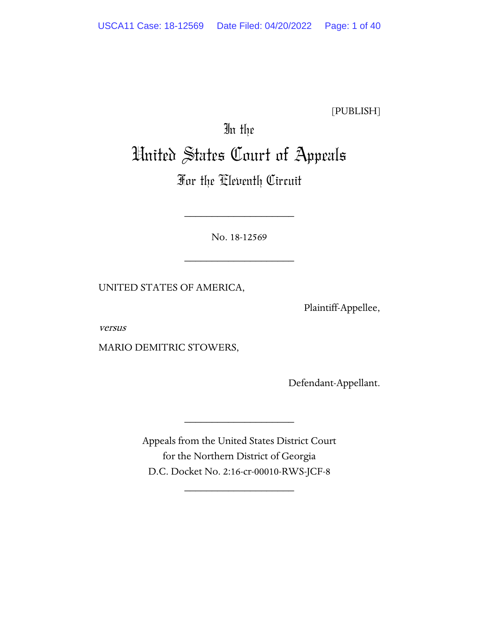[PUBLISH]

# In the United States Court of Appeals

# For the Eleventh Circuit

No. 18-12569

\_\_\_\_\_\_\_\_\_\_\_\_\_\_\_\_\_\_\_\_

\_\_\_\_\_\_\_\_\_\_\_\_\_\_\_\_\_\_\_\_

UNITED STATES OF AMERICA,

Plaintiff-Appellee,

versus

MARIO DEMITRIC STOWERS,

Defendant-Appellant.

Appeals from the United States District Court for the Northern District of Georgia D.C. Docket No. 2:16-cr-00010-RWS-JCF-8

\_\_\_\_\_\_\_\_\_\_\_\_\_\_\_\_\_\_\_\_

\_\_\_\_\_\_\_\_\_\_\_\_\_\_\_\_\_\_\_\_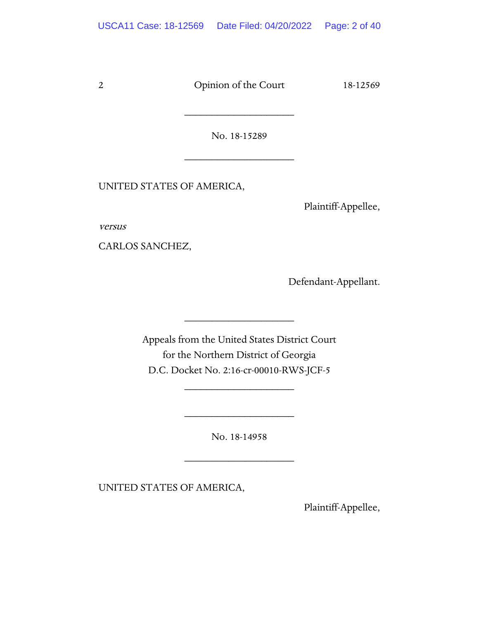No. 18-15289

\_\_\_\_\_\_\_\_\_\_\_\_\_\_\_\_\_\_\_\_

\_\_\_\_\_\_\_\_\_\_\_\_\_\_\_\_\_\_\_\_

UNITED STATES OF AMERICA,

Plaintiff-Appellee,

versus

CARLOS SANCHEZ,

Defendant-Appellant.

Appeals from the United States District Court for the Northern District of Georgia D.C. Docket No. 2:16-cr-00010-RWS-JCF-5

\_\_\_\_\_\_\_\_\_\_\_\_\_\_\_\_\_\_\_\_

\_\_\_\_\_\_\_\_\_\_\_\_\_\_\_\_\_\_\_\_

No. 18-14958

\_\_\_\_\_\_\_\_\_\_\_\_\_\_\_\_\_\_\_\_

\_\_\_\_\_\_\_\_\_\_\_\_\_\_\_\_\_\_\_\_

UNITED STATES OF AMERICA,

Plaintiff-Appellee,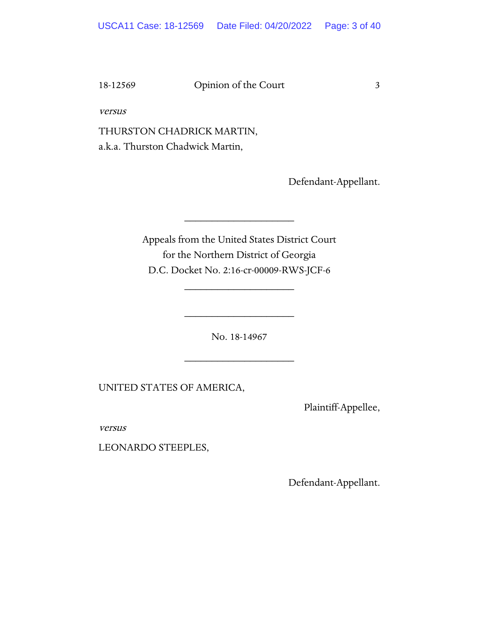versus

THURSTON CHADRICK MARTIN, a.k.a. Thurston Chadwick Martin,

Defendant-Appellant.

Appeals from the United States District Court for the Northern District of Georgia D.C. Docket No. 2:16-cr-00009-RWS-JCF-6

\_\_\_\_\_\_\_\_\_\_\_\_\_\_\_\_\_\_\_\_

\_\_\_\_\_\_\_\_\_\_\_\_\_\_\_\_\_\_\_\_

No. 18-14967

\_\_\_\_\_\_\_\_\_\_\_\_\_\_\_\_\_\_\_\_

\_\_\_\_\_\_\_\_\_\_\_\_\_\_\_\_\_\_\_\_

UNITED STATES OF AMERICA,

Plaintiff-Appellee,

versus

LEONARDO STEEPLES,

Defendant-Appellant.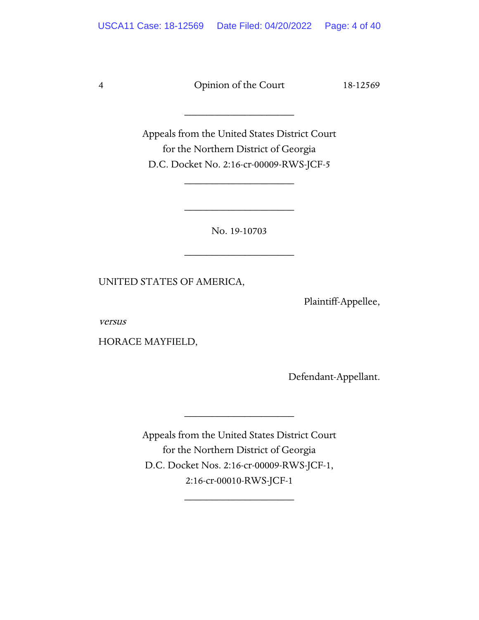\_\_\_\_\_\_\_\_\_\_\_\_\_\_\_\_\_\_\_\_

Appeals from the United States District Court for the Northern District of Georgia D.C. Docket No. 2:16-cr-00009-RWS-JCF-5

\_\_\_\_\_\_\_\_\_\_\_\_\_\_\_\_\_\_\_\_

No. 19-10703

\_\_\_\_\_\_\_\_\_\_\_\_\_\_\_\_\_\_\_\_

\_\_\_\_\_\_\_\_\_\_\_\_\_\_\_\_\_\_\_\_

UNITED STATES OF AMERICA,

Plaintiff-Appellee,

versus

HORACE MAYFIELD,

Defendant-Appellant.

Appeals from the United States District Court for the Northern District of Georgia D.C. Docket Nos. 2:16-cr-00009-RWS-JCF-1, 2:16-cr-00010-RWS-JCF-1

\_\_\_\_\_\_\_\_\_\_\_\_\_\_\_\_\_\_\_\_

\_\_\_\_\_\_\_\_\_\_\_\_\_\_\_\_\_\_\_\_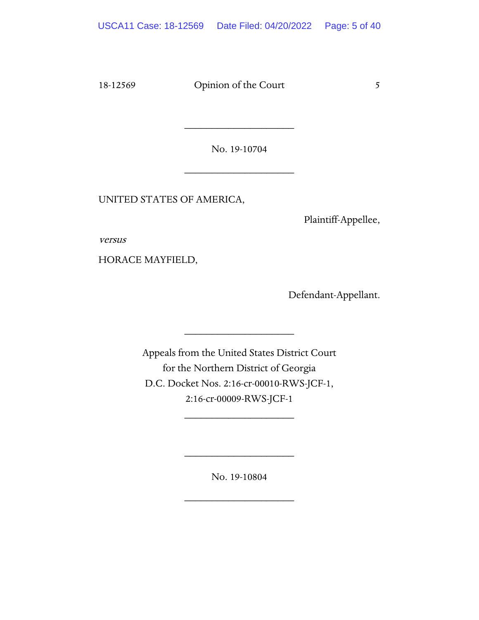No. 19-10704

\_\_\_\_\_\_\_\_\_\_\_\_\_\_\_\_\_\_\_\_

\_\_\_\_\_\_\_\_\_\_\_\_\_\_\_\_\_\_\_\_

UNITED STATES OF AMERICA,

Plaintiff-Appellee,

versus

HORACE MAYFIELD,

Defendant-Appellant.

Appeals from the United States District Court for the Northern District of Georgia D.C. Docket Nos. 2:16-cr-00010-RWS-JCF-1, 2:16-cr-00009-RWS-JCF-1

\_\_\_\_\_\_\_\_\_\_\_\_\_\_\_\_\_\_\_\_

\_\_\_\_\_\_\_\_\_\_\_\_\_\_\_\_\_\_\_\_

No. 19-10804

\_\_\_\_\_\_\_\_\_\_\_\_\_\_\_\_\_\_\_\_

\_\_\_\_\_\_\_\_\_\_\_\_\_\_\_\_\_\_\_\_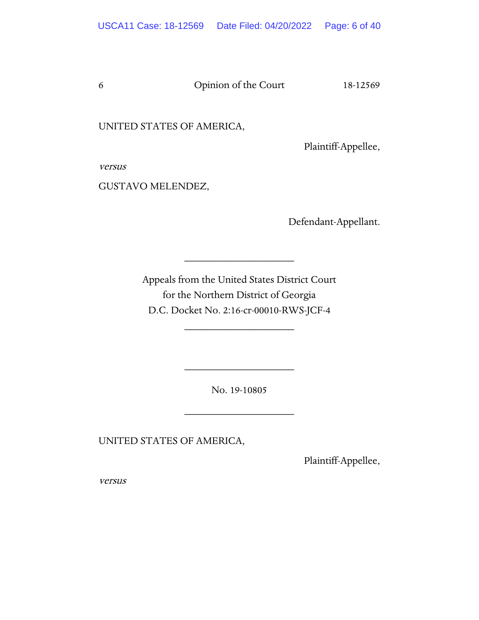UNITED STATES OF AMERICA,

Plaintiff-Appellee,

versus

GUSTAVO MELENDEZ,

Defendant-Appellant.

Appeals from the United States District Court for the Northern District of Georgia D.C. Docket No. 2:16-cr-00010-RWS-JCF-4

\_\_\_\_\_\_\_\_\_\_\_\_\_\_\_\_\_\_\_\_

\_\_\_\_\_\_\_\_\_\_\_\_\_\_\_\_\_\_\_\_

No. 19-10805

\_\_\_\_\_\_\_\_\_\_\_\_\_\_\_\_\_\_\_\_

\_\_\_\_\_\_\_\_\_\_\_\_\_\_\_\_\_\_\_\_

UNITED STATES OF AMERICA,

Plaintiff-Appellee,

versus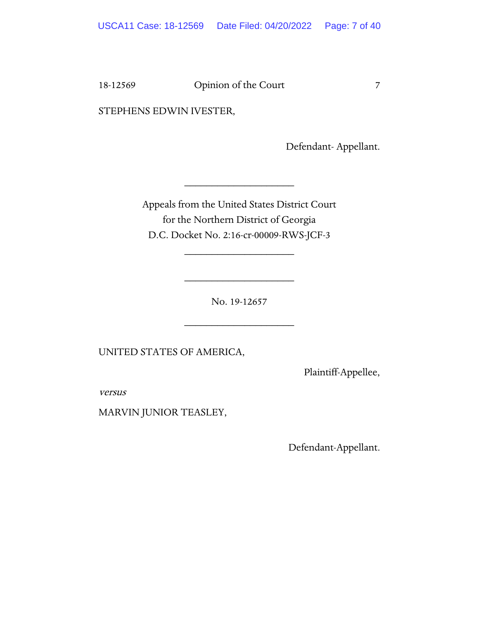STEPHENS EDWIN IVESTER,

Defendant- Appellant.

Appeals from the United States District Court for the Northern District of Georgia D.C. Docket No. 2:16-cr-00009-RWS-JCF-3

\_\_\_\_\_\_\_\_\_\_\_\_\_\_\_\_\_\_\_\_

\_\_\_\_\_\_\_\_\_\_\_\_\_\_\_\_\_\_\_\_

\_\_\_\_\_\_\_\_\_\_\_\_\_\_\_\_\_\_\_\_

No. 19-12657

\_\_\_\_\_\_\_\_\_\_\_\_\_\_\_\_\_\_\_\_

UNITED STATES OF AMERICA,

Plaintiff-Appellee,

versus

MARVIN JUNIOR TEASLEY,

Defendant-Appellant.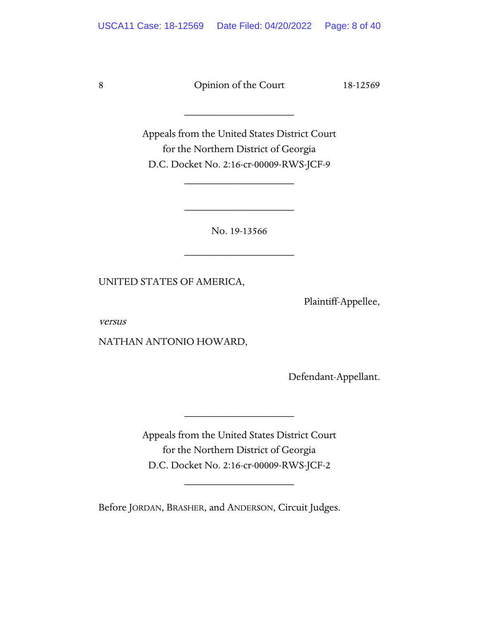\_\_\_\_\_\_\_\_\_\_\_\_\_\_\_\_\_\_\_\_

Appeals from the United States District Court for the Northern District of Georgia D.C. Docket No. 2:16-cr-00009-RWS-JCF-9

\_\_\_\_\_\_\_\_\_\_\_\_\_\_\_\_\_\_\_\_

No. 19-13566

\_\_\_\_\_\_\_\_\_\_\_\_\_\_\_\_\_\_\_\_

\_\_\_\_\_\_\_\_\_\_\_\_\_\_\_\_\_\_\_\_

UNITED STATES OF AMERICA,

Plaintiff-Appellee,

versus

NATHAN ANTONIO HOWARD,

Defendant-Appellant.

Appeals from the United States District Court for the Northern District of Georgia D.C. Docket No. 2:16-cr-00009-RWS-JCF-2

\_\_\_\_\_\_\_\_\_\_\_\_\_\_\_\_\_\_\_\_

\_\_\_\_\_\_\_\_\_\_\_\_\_\_\_\_\_\_\_\_

Before JORDAN, BRASHER, and ANDERSON, Circuit Judges.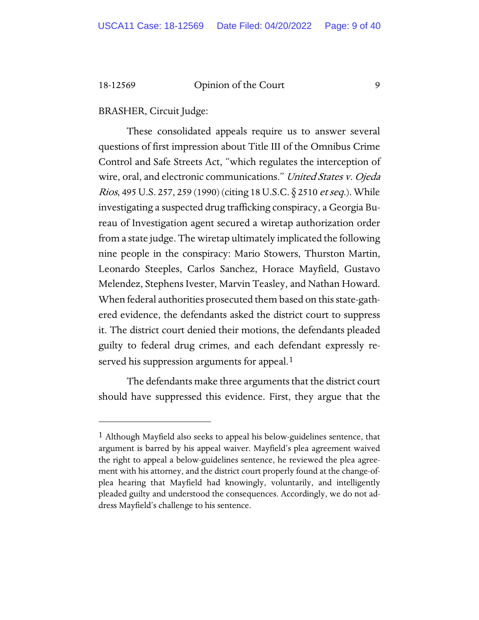# BRASHER, Circuit Judge:

These consolidated appeals require us to answer several questions of first impression about Title III of the Omnibus Crime Control and Safe Streets Act, "which regulates the interception of wire, oral, and electronic communications." United States v. Ojeda *Rios*, 495 U.S. 257, 259 (1990) (citing 18 U.S.C. § 2510 *et seq.*). While investigating a suspected drug trafficking conspiracy, a Georgia Bureau of Investigation agent secured a wiretap authorization order from a state judge. The wiretap ultimately implicated the following nine people in the conspiracy: Mario Stowers, Thurston Martin, Leonardo Steeples, Carlos Sanchez, Horace Mayfield, Gustavo Melendez, Stephens Ivester, Marvin Teasley, and Nathan Howard. When federal authorities prosecuted them based on this state-gathered evidence, the defendants asked the district court to suppress it. The district court denied their motions, the defendants pleaded guilty to federal drug crimes, and each defendant expressly re-served his suppression arguments for appeal.<sup>[1](#page-8-0)</sup>

The defendants make three arguments that the district court should have suppressed this evidence. First, they argue that the

<span id="page-8-0"></span><sup>1</sup> Although Mayfield also seeks to appeal his below-guidelines sentence, that argument is barred by his appeal waiver. Mayfield's plea agreement waived the right to appeal a below-guidelines sentence, he reviewed the plea agreement with his attorney, and the district court properly found at the change-ofplea hearing that Mayfield had knowingly, voluntarily, and intelligently pleaded guilty and understood the consequences. Accordingly, we do not address Mayfield's challenge to his sentence.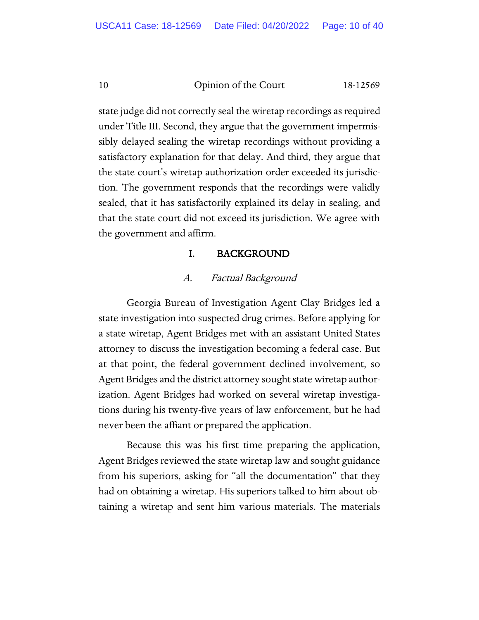state judge did not correctly seal the wiretap recordings as required under Title III. Second, they argue that the government impermissibly delayed sealing the wiretap recordings without providing a satisfactory explanation for that delay. And third, they argue that the state court's wiretap authorization order exceeded its jurisdiction. The government responds that the recordings were validly sealed, that it has satisfactorily explained its delay in sealing, and that the state court did not exceed its jurisdiction. We agree with the government and affirm.

# I. BACKGROUND

# A. Factual Background

Georgia Bureau of Investigation Agent Clay Bridges led a state investigation into suspected drug crimes. Before applying for a state wiretap, Agent Bridges met with an assistant United States attorney to discuss the investigation becoming a federal case. But at that point, the federal government declined involvement, so Agent Bridges and the district attorney sought state wiretap authorization. Agent Bridges had worked on several wiretap investigations during his twenty-five years of law enforcement, but he had never been the affiant or prepared the application.

Because this was his first time preparing the application, Agent Bridges reviewed the state wiretap law and sought guidance from his superiors, asking for "all the documentation" that they had on obtaining a wiretap. His superiors talked to him about obtaining a wiretap and sent him various materials. The materials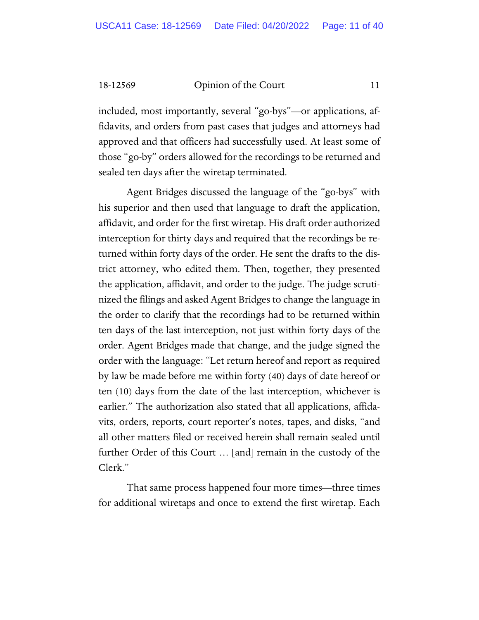included, most importantly, several "go-bys"—or applications, affidavits, and orders from past cases that judges and attorneys had approved and that officers had successfully used. At least some of those "go-by" orders allowed for the recordings to be returned and sealed ten days after the wiretap terminated.

Agent Bridges discussed the language of the "go-bys" with his superior and then used that language to draft the application, affidavit, and order for the first wiretap. His draft order authorized interception for thirty days and required that the recordings be returned within forty days of the order. He sent the drafts to the district attorney, who edited them. Then, together, they presented the application, affidavit, and order to the judge. The judge scrutinized the filings and asked Agent Bridges to change the language in the order to clarify that the recordings had to be returned within ten days of the last interception, not just within forty days of the order. Agent Bridges made that change, and the judge signed the order with the language: "Let return hereof and report as required by law be made before me within forty (40) days of date hereof or ten (10) days from the date of the last interception, whichever is earlier." The authorization also stated that all applications, affidavits, orders, reports, court reporter's notes, tapes, and disks, "and all other matters filed or received herein shall remain sealed until further Order of this Court … [and] remain in the custody of the Clerk."

That same process happened four more times—three times for additional wiretaps and once to extend the first wiretap. Each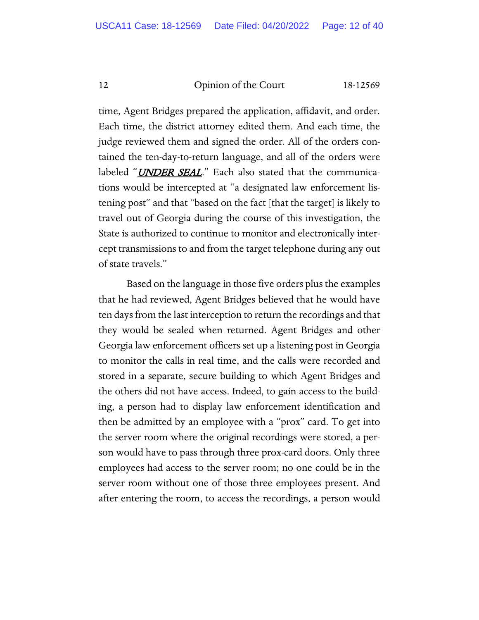time, Agent Bridges prepared the application, affidavit, and order. Each time, the district attorney edited them. And each time, the judge reviewed them and signed the order. All of the orders contained the ten-day-to-return language, and all of the orders were labeled "UNDER SEAL." Each also stated that the communications would be intercepted at "a designated law enforcement listening post" and that "based on the fact [that the target] is likely to travel out of Georgia during the course of this investigation, the State is authorized to continue to monitor and electronically intercept transmissions to and from the target telephone during any out of state travels."

Based on the language in those five orders plus the examples that he had reviewed, Agent Bridges believed that he would have ten days from the last interception to return the recordings and that they would be sealed when returned. Agent Bridges and other Georgia law enforcement officers set up a listening post in Georgia to monitor the calls in real time, and the calls were recorded and stored in a separate, secure building to which Agent Bridges and the others did not have access. Indeed, to gain access to the building, a person had to display law enforcement identification and then be admitted by an employee with a "prox" card. To get into the server room where the original recordings were stored, a person would have to pass through three prox-card doors. Only three employees had access to the server room; no one could be in the server room without one of those three employees present. And after entering the room, to access the recordings, a person would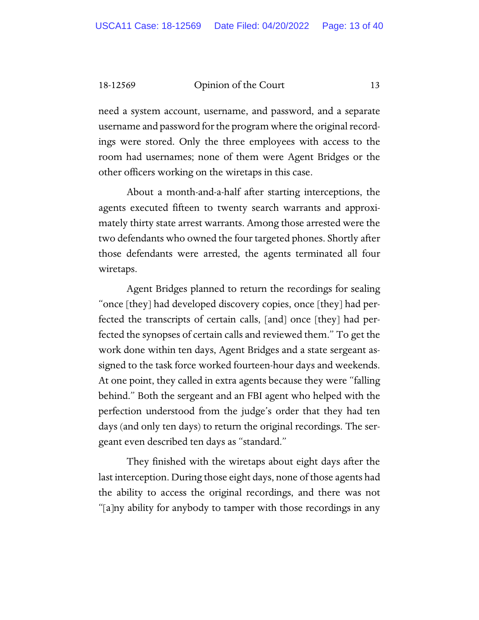need a system account, username, and password, and a separate username and password for the program where the original recordings were stored. Only the three employees with access to the room had usernames; none of them were Agent Bridges or the other officers working on the wiretaps in this case.

About a month-and-a-half after starting interceptions, the agents executed fifteen to twenty search warrants and approximately thirty state arrest warrants. Among those arrested were the two defendants who owned the four targeted phones. Shortly after those defendants were arrested, the agents terminated all four wiretaps.

Agent Bridges planned to return the recordings for sealing "once [they] had developed discovery copies, once [they] had perfected the transcripts of certain calls, [and] once [they] had perfected the synopses of certain calls and reviewed them." To get the work done within ten days, Agent Bridges and a state sergeant assigned to the task force worked fourteen-hour days and weekends. At one point, they called in extra agents because they were "falling behind." Both the sergeant and an FBI agent who helped with the perfection understood from the judge's order that they had ten days (and only ten days) to return the original recordings. The sergeant even described ten days as "standard."

They finished with the wiretaps about eight days after the last interception. During those eight days, none of those agents had the ability to access the original recordings, and there was not "[a]ny ability for anybody to tamper with those recordings in any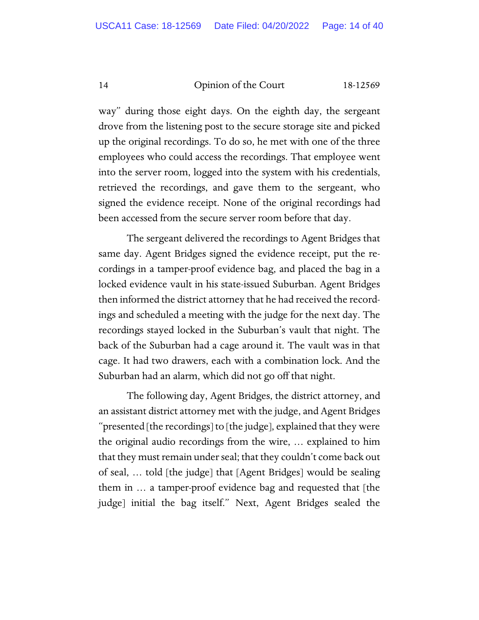way" during those eight days. On the eighth day, the sergeant drove from the listening post to the secure storage site and picked up the original recordings. To do so, he met with one of the three employees who could access the recordings. That employee went into the server room, logged into the system with his credentials, retrieved the recordings, and gave them to the sergeant, who signed the evidence receipt. None of the original recordings had been accessed from the secure server room before that day.

The sergeant delivered the recordings to Agent Bridges that same day. Agent Bridges signed the evidence receipt, put the recordings in a tamper-proof evidence bag, and placed the bag in a locked evidence vault in his state-issued Suburban. Agent Bridges then informed the district attorney that he had received the recordings and scheduled a meeting with the judge for the next day. The recordings stayed locked in the Suburban's vault that night. The back of the Suburban had a cage around it. The vault was in that cage. It had two drawers, each with a combination lock. And the Suburban had an alarm, which did not go off that night.

The following day, Agent Bridges, the district attorney, and an assistant district attorney met with the judge, and Agent Bridges "presented [the recordings] to [the judge], explained that they were the original audio recordings from the wire, … explained to him that they must remain under seal; that they couldn't come back out of seal, … told [the judge] that [Agent Bridges] would be sealing them in … a tamper-proof evidence bag and requested that [the judge] initial the bag itself." Next, Agent Bridges sealed the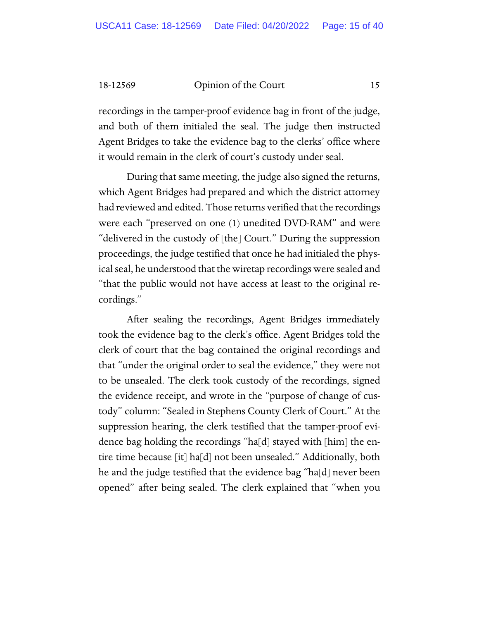recordings in the tamper-proof evidence bag in front of the judge, and both of them initialed the seal. The judge then instructed Agent Bridges to take the evidence bag to the clerks' office where it would remain in the clerk of court's custody under seal.

During that same meeting, the judge also signed the returns, which Agent Bridges had prepared and which the district attorney had reviewed and edited. Those returns verified that the recordings were each "preserved on one (1) unedited DVD-RAM" and were "delivered in the custody of [the] Court." During the suppression proceedings, the judge testified that once he had initialed the physical seal, he understood that the wiretap recordings were sealed and "that the public would not have access at least to the original recordings."

After sealing the recordings, Agent Bridges immediately took the evidence bag to the clerk's office. Agent Bridges told the clerk of court that the bag contained the original recordings and that "under the original order to seal the evidence," they were not to be unsealed. The clerk took custody of the recordings, signed the evidence receipt, and wrote in the "purpose of change of custody" column: "Sealed in Stephens County Clerk of Court." At the suppression hearing, the clerk testified that the tamper-proof evidence bag holding the recordings "ha[d] stayed with [him] the entire time because [it] ha[d] not been unsealed." Additionally, both he and the judge testified that the evidence bag "ha[d] never been opened" after being sealed. The clerk explained that "when you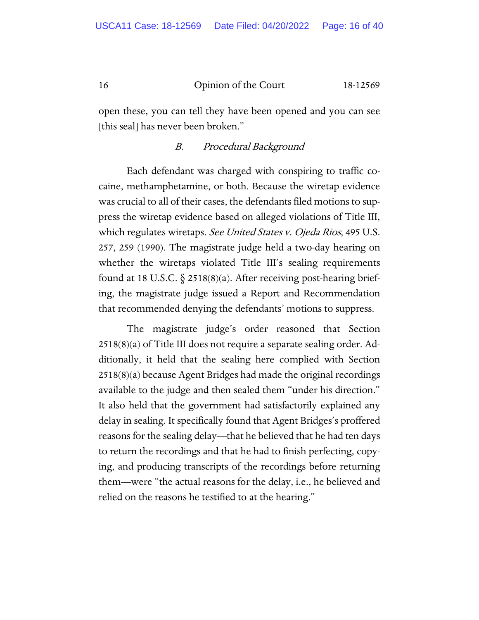open these, you can tell they have been opened and you can see [this seal] has never been broken."

# B. Procedural Background

Each defendant was charged with conspiring to traffic cocaine, methamphetamine, or both. Because the wiretap evidence was crucial to all of their cases, the defendants filed motions to suppress the wiretap evidence based on alleged violations of Title III, which regulates wiretaps. See United States v. Ojeda Rios, 495 U.S. 257, 259 (1990). The magistrate judge held a two-day hearing on whether the wiretaps violated Title III's sealing requirements found at 18 U.S.C.  $\S$  2518(8)(a). After receiving post-hearing briefing, the magistrate judge issued a Report and Recommendation that recommended denying the defendants' motions to suppress.

The magistrate judge's order reasoned that Section 2518(8)(a) of Title III does not require a separate sealing order. Additionally, it held that the sealing here complied with Section 2518(8)(a) because Agent Bridges had made the original recordings available to the judge and then sealed them "under his direction." It also held that the government had satisfactorily explained any delay in sealing. It specifically found that Agent Bridges's proffered reasons for the sealing delay—that he believed that he had ten days to return the recordings and that he had to finish perfecting, copying, and producing transcripts of the recordings before returning them—were "the actual reasons for the delay, i.e., he believed and relied on the reasons he testified to at the hearing."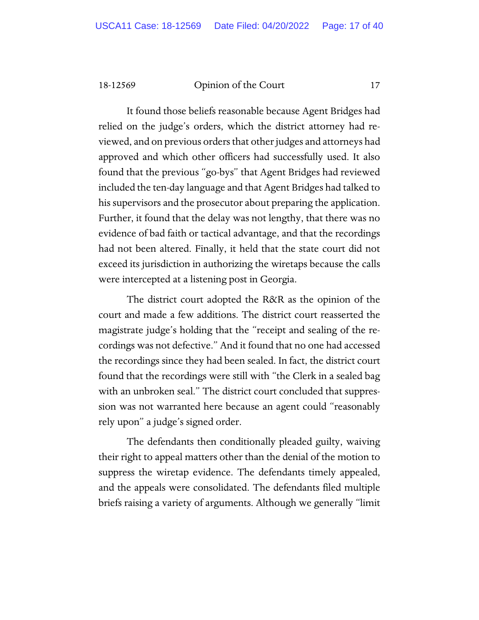It found those beliefs reasonable because Agent Bridges had relied on the judge's orders, which the district attorney had reviewed, and on previous orders that other judges and attorneys had approved and which other officers had successfully used. It also found that the previous "go-bys" that Agent Bridges had reviewed included the ten-day language and that Agent Bridges had talked to his supervisors and the prosecutor about preparing the application. Further, it found that the delay was not lengthy, that there was no evidence of bad faith or tactical advantage, and that the recordings had not been altered. Finally, it held that the state court did not exceed its jurisdiction in authorizing the wiretaps because the calls were intercepted at a listening post in Georgia.

The district court adopted the R&R as the opinion of the court and made a few additions. The district court reasserted the magistrate judge's holding that the "receipt and sealing of the recordings was not defective." And it found that no one had accessed the recordings since they had been sealed. In fact, the district court found that the recordings were still with "the Clerk in a sealed bag with an unbroken seal." The district court concluded that suppression was not warranted here because an agent could "reasonably rely upon" a judge's signed order.

The defendants then conditionally pleaded guilty, waiving their right to appeal matters other than the denial of the motion to suppress the wiretap evidence. The defendants timely appealed, and the appeals were consolidated. The defendants filed multiple briefs raising a variety of arguments. Although we generally "limit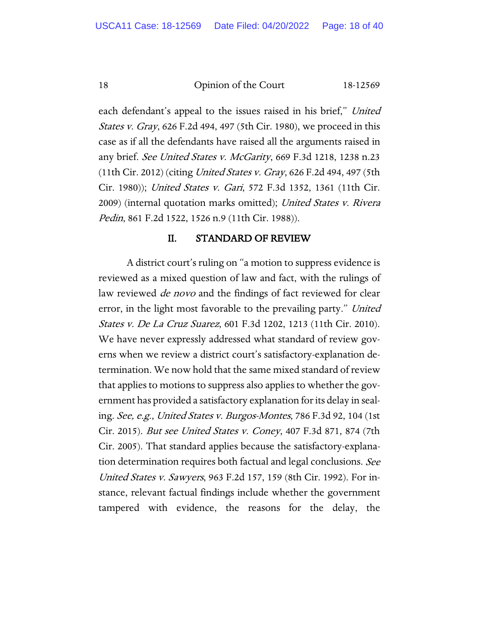each defendant's appeal to the issues raised in his brief," United *States v. Gray*, 626 F.2d 494, 497 (5th Cir. 1980), we proceed in this case as if all the defendants have raised all the arguments raised in any brief. See United States v. McGarity, 669 F.3d 1218, 1238 n.23 (11th Cir. 2012) (citing *United States v. Gray*, 626 F.2d 494, 497 (5th Cir. 1980)); United States v. Gari, 572 F.3d 1352, 1361 (11th Cir. 2009) (internal quotation marks omitted); United States v. Rivera Pedin, 861 F.2d 1522, 1526 n.9 (11th Cir. 1988)).

# II. STANDARD OF REVIEW

A district court's ruling on "a motion to suppress evidence is reviewed as a mixed question of law and fact, with the rulings of law reviewed *de novo* and the findings of fact reviewed for clear error, in the light most favorable to the prevailing party." United States v. De La Cruz Suarez, 601 F.3d 1202, 1213 (11th Cir. 2010). We have never expressly addressed what standard of review governs when we review a district court's satisfactory-explanation determination. We now hold that the same mixed standard of review that applies to motions to suppress also applies to whether the government has provided a satisfactory explanation for its delay in sealing. See, e.g., United States v. Burgos-Montes, 786 F.3d 92, 104 (1st Cir. 2015). But see United States v. Coney, 407 F.3d 871, 874 (7th Cir. 2005). That standard applies because the satisfactory-explanation determination requires both factual and legal conclusions. See United States v. Sawyers, 963 F.2d 157, 159 (8th Cir. 1992). For instance, relevant factual findings include whether the government tampered with evidence, the reasons for the delay, the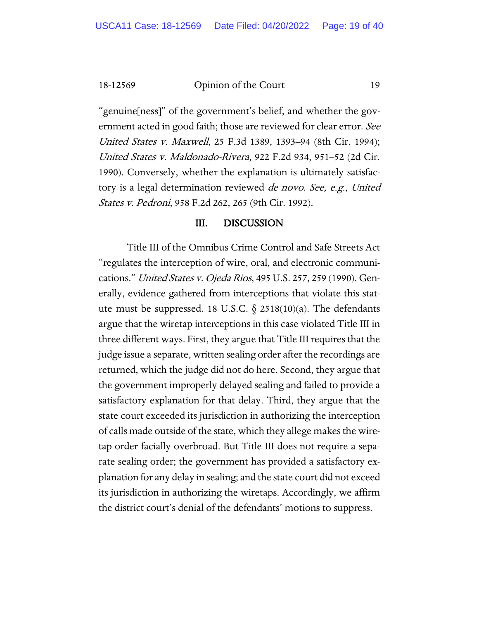"genuine[ness]" of the government's belief, and whether the government acted in good faith; those are reviewed for clear error. See United States v. Maxwell, 25 F.3d 1389, 1393–94 (8th Cir. 1994); United States v. Maldonado-Rivera, 922 F.2d 934, 951–52 (2d Cir. 1990). Conversely, whether the explanation is ultimately satisfactory is a legal determination reviewed *de novo. See, e.g., United* States v. Pedroni, 958 F.2d 262, 265 (9th Cir. 1992).

# III. DISCUSSION

Title III of the Omnibus Crime Control and Safe Streets Act "regulates the interception of wire, oral, and electronic communications." United States v. Ojeda Rios, 495 U.S. 257, 259 (1990). Generally, evidence gathered from interceptions that violate this statute must be suppressed. 18 U.S.C.  $\S$  2518(10)(a). The defendants argue that the wiretap interceptions in this case violated Title III in three different ways. First, they argue that Title III requires that the judge issue a separate, written sealing order after the recordings are returned, which the judge did not do here. Second, they argue that the government improperly delayed sealing and failed to provide a satisfactory explanation for that delay. Third, they argue that the state court exceeded its jurisdiction in authorizing the interception of calls made outside of the state, which they allege makes the wiretap order facially overbroad. But Title III does not require a separate sealing order; the government has provided a satisfactory explanation for any delay in sealing; and the state court did not exceed its jurisdiction in authorizing the wiretaps. Accordingly, we affirm the district court's denial of the defendants' motions to suppress.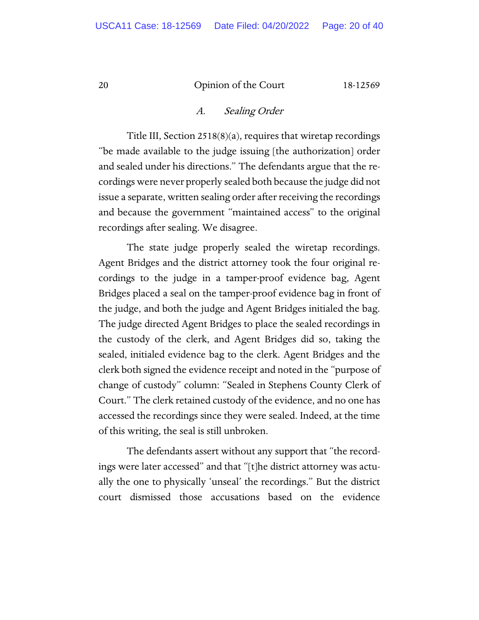# A. Sealing Order

Title III, Section 2518(8)(a), requires that wiretap recordings "be made available to the judge issuing [the authorization] order and sealed under his directions." The defendants argue that the recordings were never properly sealed both because the judge did not issue a separate, written sealing order after receiving the recordings and because the government "maintained access" to the original recordings after sealing. We disagree.

The state judge properly sealed the wiretap recordings. Agent Bridges and the district attorney took the four original recordings to the judge in a tamper-proof evidence bag, Agent Bridges placed a seal on the tamper-proof evidence bag in front of the judge, and both the judge and Agent Bridges initialed the bag. The judge directed Agent Bridges to place the sealed recordings in the custody of the clerk, and Agent Bridges did so, taking the sealed, initialed evidence bag to the clerk. Agent Bridges and the clerk both signed the evidence receipt and noted in the "purpose of change of custody" column: "Sealed in Stephens County Clerk of Court." The clerk retained custody of the evidence, and no one has accessed the recordings since they were sealed. Indeed, at the time of this writing, the seal is still unbroken.

The defendants assert without any support that "the recordings were later accessed" and that "[t]he district attorney was actually the one to physically 'unseal' the recordings." But the district court dismissed those accusations based on the evidence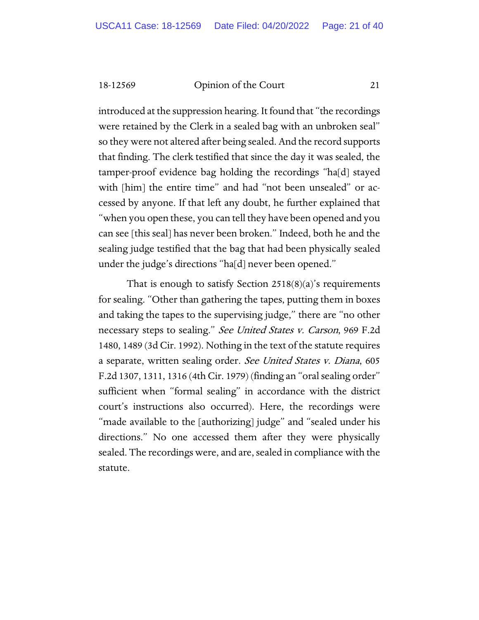introduced at the suppression hearing. It found that "the recordings were retained by the Clerk in a sealed bag with an unbroken seal" so they were not altered after being sealed. And the record supports that finding. The clerk testified that since the day it was sealed, the tamper-proof evidence bag holding the recordings "ha[d] stayed with [him] the entire time" and had "not been unsealed" or accessed by anyone. If that left any doubt, he further explained that "when you open these, you can tell they have been opened and you can see [this seal] has never been broken." Indeed, both he and the sealing judge testified that the bag that had been physically sealed under the judge's directions "ha[d] never been opened."

That is enough to satisfy Section  $2518(8)(a)$ 's requirements for sealing. "Other than gathering the tapes, putting them in boxes and taking the tapes to the supervising judge," there are "no other necessary steps to sealing." See United States v. Carson, 969 F.2d 1480, 1489 (3d Cir. 1992). Nothing in the text of the statute requires a separate, written sealing order. See United States v. Diana, 605 F.2d 1307, 1311, 1316 (4th Cir. 1979) (finding an "oral sealing order" sufficient when "formal sealing" in accordance with the district court's instructions also occurred). Here, the recordings were "made available to the [authorizing] judge" and "sealed under his directions." No one accessed them after they were physically sealed. The recordings were, and are, sealed in compliance with the statute.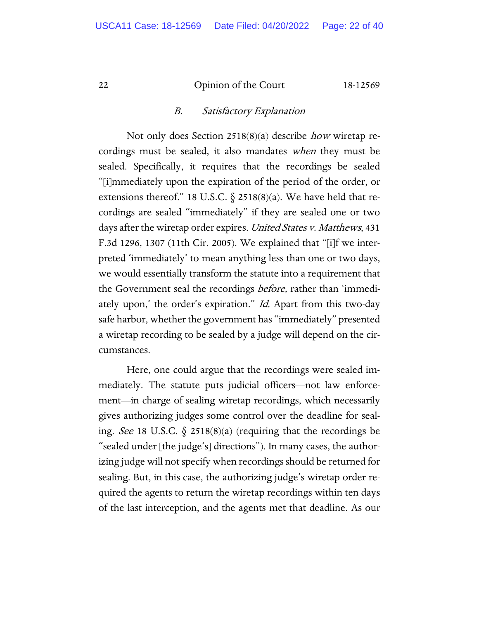#### B. Satisfactory Explanation

Not only does Section 2518(8)(a) describe how wiretap recordings must be sealed, it also mandates when they must be sealed. Specifically, it requires that the recordings be sealed "[i]mmediately upon the expiration of the period of the order, or extensions thereof." 18 U.S.C.  $\S$  2518(8)(a). We have held that recordings are sealed "immediately" if they are sealed one or two days after the wiretap order expires. United States v. Matthews, 431 F.3d 1296, 1307 (11th Cir. 2005). We explained that "[i]f we interpreted 'immediately' to mean anything less than one or two days, we would essentially transform the statute into a requirement that the Government seal the recordings before, rather than 'immediately upon,' the order's expiration." Id. Apart from this two-day safe harbor, whether the government has "immediately" presented a wiretap recording to be sealed by a judge will depend on the circumstances.

Here, one could argue that the recordings were sealed immediately. The statute puts judicial officers—not law enforcement—in charge of sealing wiretap recordings, which necessarily gives authorizing judges some control over the deadline for sealing. See 18 U.S.C.  $\S$  2518(8)(a) (requiring that the recordings be "sealed under [the judge's] directions"). In many cases, the authorizing judge will not specify when recordings should be returned for sealing. But, in this case, the authorizing judge's wiretap order required the agents to return the wiretap recordings within ten days of the last interception, and the agents met that deadline. As our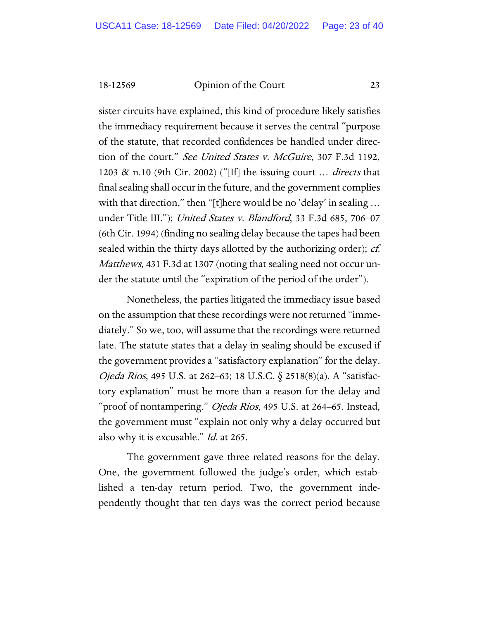sister circuits have explained, this kind of procedure likely satisfies the immediacy requirement because it serves the central "purpose of the statute, that recorded confidences be handled under direction of the court." See United States v. McGuire, 307 F.3d 1192, 1203 & n.10 (9th Cir. 2002) ("[If] the issuing court  $\ldots$  *directs* that final sealing shall occur in the future, and the government complies with that direction," then "[t]here would be no 'delay' in sealing ... under Title III."); United States v. Blandford, 33 F.3d 685, 706–07 (6th Cir. 1994) (finding no sealing delay because the tapes had been sealed within the thirty days allotted by the authorizing order); *cf.* Matthews, 431 F.3d at 1307 (noting that sealing need not occur under the statute until the "expiration of the period of the order").

Nonetheless, the parties litigated the immediacy issue based on the assumption that these recordings were not returned "immediately." So we, too, will assume that the recordings were returned late. The statute states that a delay in sealing should be excused if the government provides a "satisfactory explanation" for the delay. Ojeda Rios, 495 U.S. at 262–63; 18 U.S.C. § 2518(8)(a). A "satisfactory explanation" must be more than a reason for the delay and "proof of nontampering." *Ojeda Rios*, 495 U.S. at 264–65. Instead, the government must "explain not only why a delay occurred but also why it is excusable." Id. at 265.

The government gave three related reasons for the delay. One, the government followed the judge's order, which established a ten-day return period. Two, the government independently thought that ten days was the correct period because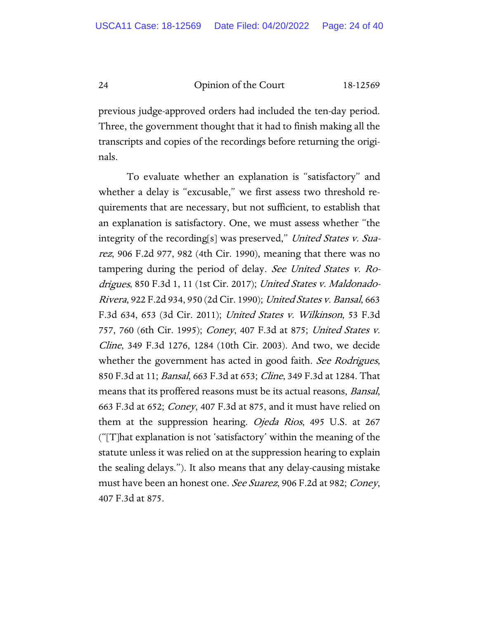previous judge-approved orders had included the ten-day period. Three, the government thought that it had to finish making all the transcripts and copies of the recordings before returning the originals.

To evaluate whether an explanation is "satisfactory" and whether a delay is "excusable," we first assess two threshold requirements that are necessary, but not sufficient, to establish that an explanation is satisfactory. One, we must assess whether "the integrity of the recording[s] was preserved," United States v. Suarez, 906 F.2d 977, 982 (4th Cir. 1990), meaning that there was no tampering during the period of delay. See United States v. Rodrigues, 850 F.3d 1, 11 (1st Cir. 2017); United States v. Maldonado-Rivera, 922 F.2d 934, 950 (2d Cir. 1990); United States v. Bansal, 663 F.3d 634, 653 (3d Cir. 2011); United States v. Wilkinson, 53 F.3d 757, 760 (6th Cir. 1995); *Coney*, 407 F.3d at 875; *United States v.* Cline, 349 F.3d 1276, 1284 (10th Cir. 2003). And two, we decide whether the government has acted in good faith. See Rodrigues, 850 F.3d at 11; Bansal, 663 F.3d at 653; Cline, 349 F.3d at 1284. That means that its proffered reasons must be its actual reasons, *Bansal*, 663 F.3d at 652; Coney, 407 F.3d at 875, and it must have relied on them at the suppression hearing. *Ojeda Rios*, 495 U.S. at 267 ("[T]hat explanation is not 'satisfactory' within the meaning of the statute unless it was relied on at the suppression hearing to explain the sealing delays."). It also means that any delay-causing mistake must have been an honest one. See Suarez, 906 F.2d at 982; Coney, 407 F.3d at 875.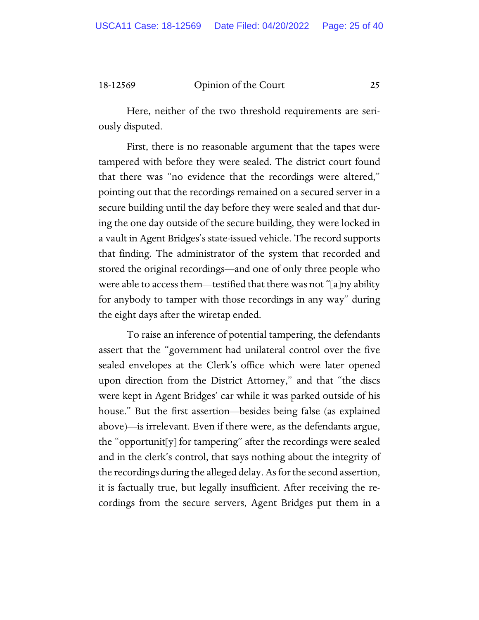Here, neither of the two threshold requirements are seriously disputed.

First, there is no reasonable argument that the tapes were tampered with before they were sealed. The district court found that there was "no evidence that the recordings were altered," pointing out that the recordings remained on a secured server in a secure building until the day before they were sealed and that during the one day outside of the secure building, they were locked in a vault in Agent Bridges's state-issued vehicle. The record supports that finding. The administrator of the system that recorded and stored the original recordings—and one of only three people who were able to access them—testified that there was not "[a]ny ability for anybody to tamper with those recordings in any way" during the eight days after the wiretap ended.

To raise an inference of potential tampering, the defendants assert that the "government had unilateral control over the five sealed envelopes at the Clerk's office which were later opened upon direction from the District Attorney," and that "the discs were kept in Agent Bridges' car while it was parked outside of his house." But the first assertion—besides being false (as explained above)—is irrelevant. Even if there were, as the defendants argue, the "opportunit[y] for tampering" after the recordings were sealed and in the clerk's control, that says nothing about the integrity of the recordings during the alleged delay. As for the second assertion, it is factually true, but legally insufficient. After receiving the recordings from the secure servers, Agent Bridges put them in a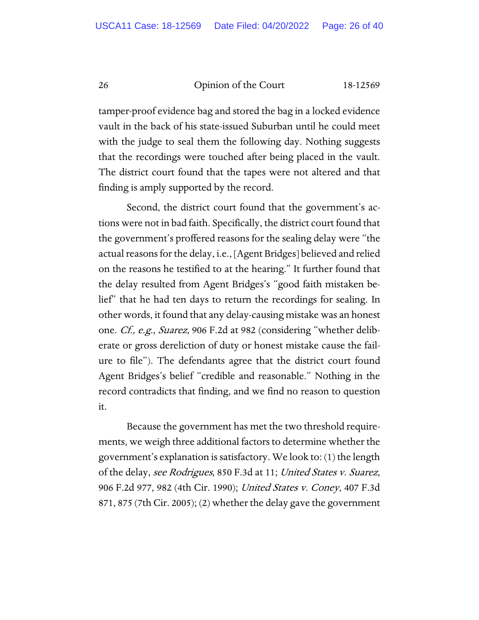tamper-proof evidence bag and stored the bag in a locked evidence vault in the back of his state-issued Suburban until he could meet with the judge to seal them the following day. Nothing suggests that the recordings were touched after being placed in the vault. The district court found that the tapes were not altered and that finding is amply supported by the record.

Second, the district court found that the government's actions were not in bad faith. Specifically, the district court found that the government's proffered reasons for the sealing delay were "the actual reasons for the delay, i.e., [Agent Bridges] believed and relied on the reasons he testified to at the hearing." It further found that the delay resulted from Agent Bridges's "good faith mistaken belief" that he had ten days to return the recordings for sealing. In other words, it found that any delay-causing mistake was an honest one. Cf., e.g., Suarez, 906 F.2d at 982 (considering "whether deliberate or gross dereliction of duty or honest mistake cause the failure to file"). The defendants agree that the district court found Agent Bridges's belief "credible and reasonable." Nothing in the record contradicts that finding, and we find no reason to question it.

Because the government has met the two threshold requirements, we weigh three additional factors to determine whether the government's explanation is satisfactory. We look to: (1) the length of the delay, *see Rodrigues*, 850 F.3d at 11; *United States v. Suarez*, 906 F.2d 977, 982 (4th Cir. 1990); United States v. Coney, 407 F.3d 871, 875 (7th Cir. 2005); (2) whether the delay gave the government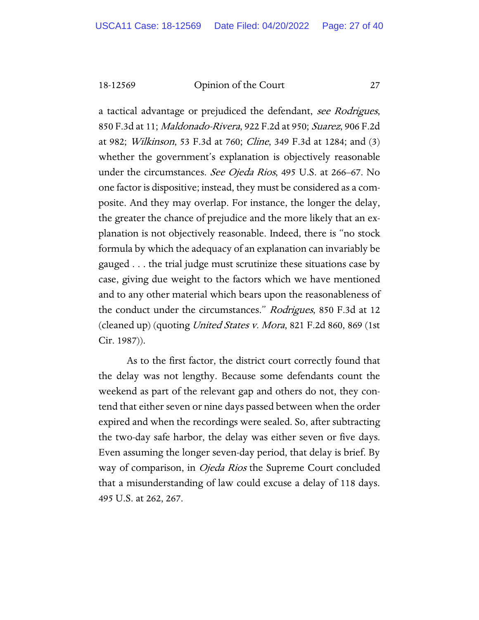a tactical advantage or prejudiced the defendant, see Rodrigues, 850 F.3d at 11; Maldonado-Rivera, 922 F.2d at 950; Suarez, 906 F.2d at 982; Wilkinson, 53 F.3d at 760; Cline, 349 F.3d at 1284; and (3) whether the government's explanation is objectively reasonable under the circumstances. See Ojeda Rios, 495 U.S. at 266–67. No one factor is dispositive; instead, they must be considered as a composite. And they may overlap. For instance, the longer the delay, the greater the chance of prejudice and the more likely that an explanation is not objectively reasonable. Indeed, there is "no stock formula by which the adequacy of an explanation can invariably be gauged . . . the trial judge must scrutinize these situations case by case, giving due weight to the factors which we have mentioned and to any other material which bears upon the reasonableness of the conduct under the circumstances." Rodrigues, 850 F.3d at 12 (cleaned up) (quoting United States v. Mora, 821 F.2d 860, 869 (1st Cir. 1987)).

As to the first factor, the district court correctly found that the delay was not lengthy. Because some defendants count the weekend as part of the relevant gap and others do not, they contend that either seven or nine days passed between when the order expired and when the recordings were sealed. So, after subtracting the two-day safe harbor, the delay was either seven or five days. Even assuming the longer seven-day period, that delay is brief. By way of comparison, in *Ojeda Rios* the Supreme Court concluded that a misunderstanding of law could excuse a delay of 118 days. 495 U.S. at 262, 267.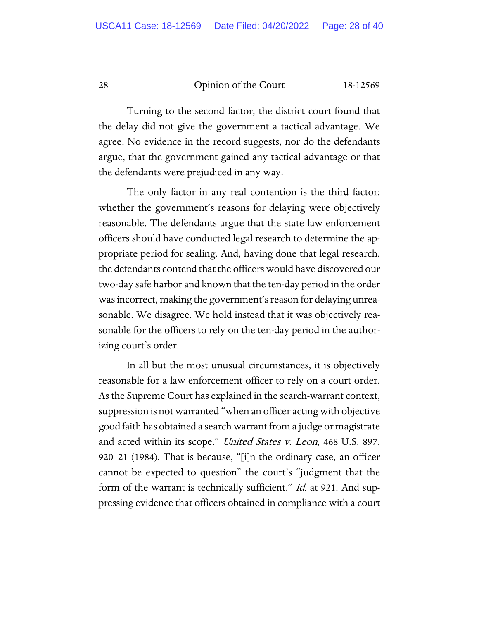Turning to the second factor, the district court found that the delay did not give the government a tactical advantage. We agree. No evidence in the record suggests, nor do the defendants argue, that the government gained any tactical advantage or that the defendants were prejudiced in any way.

The only factor in any real contention is the third factor: whether the government's reasons for delaying were objectively reasonable. The defendants argue that the state law enforcement officers should have conducted legal research to determine the appropriate period for sealing. And, having done that legal research, the defendants contend that the officers would have discovered our two-day safe harbor and known that the ten-day period in the order was incorrect, making the government's reason for delaying unreasonable. We disagree. We hold instead that it was objectively reasonable for the officers to rely on the ten-day period in the authorizing court's order.

In all but the most unusual circumstances, it is objectively reasonable for a law enforcement officer to rely on a court order. As the Supreme Court has explained in the search-warrant context, suppression is not warranted "when an officer acting with objective good faith has obtained a search warrant from a judge or magistrate and acted within its scope." *United States v. Leon*, 468 U.S. 897, 920–21 (1984). That is because, "[i]n the ordinary case, an officer cannot be expected to question" the court's "judgment that the form of the warrant is technically sufficient." *Id.* at 921. And suppressing evidence that officers obtained in compliance with a court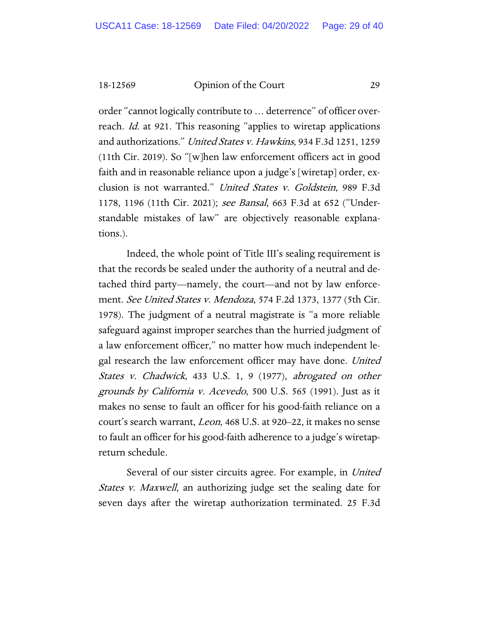order "cannot logically contribute to … deterrence" of officer overreach. *Id.* at 921. This reasoning "applies to wiretap applications and authorizations." United States v. Hawkins, 934 F.3d 1251, 1259 (11th Cir. 2019). So "[w]hen law enforcement officers act in good faith and in reasonable reliance upon a judge's [wiretap] order, exclusion is not warranted." United States v. Goldstein, 989 F.3d 1178, 1196 (11th Cir. 2021); see Bansal, 663 F.3d at 652 ("Understandable mistakes of law" are objectively reasonable explanations.).

Indeed, the whole point of Title III's sealing requirement is that the records be sealed under the authority of a neutral and detached third party—namely, the court—and not by law enforcement. See United States v. Mendoza, 574 F.2d 1373, 1377 (5th Cir. 1978). The judgment of a neutral magistrate is "a more reliable safeguard against improper searches than the hurried judgment of a law enforcement officer," no matter how much independent legal research the law enforcement officer may have done. United States v. Chadwick, 433 U.S. 1, 9 (1977), abrogated on other grounds by California v. Acevedo, 500 U.S. 565 (1991). Just as it makes no sense to fault an officer for his good-faith reliance on a court's search warrant, Leon, 468 U.S. at 920–22, it makes no sense to fault an officer for his good-faith adherence to a judge's wiretapreturn schedule.

Several of our sister circuits agree. For example, in United States v. Maxwell, an authorizing judge set the sealing date for seven days after the wiretap authorization terminated. 25 F.3d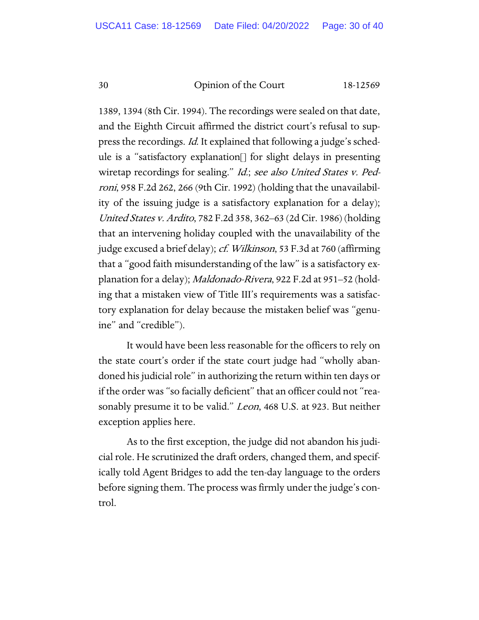1389, 1394 (8th Cir. 1994). The recordings were sealed on that date, and the Eighth Circuit affirmed the district court's refusal to suppress the recordings. Id. It explained that following a judge's schedule is a "satisfactory explanation[] for slight delays in presenting wiretap recordings for sealing." Id.; see also United States v. Pedroni, 958 F.2d 262, 266 (9th Cir. 1992) (holding that the unavailability of the issuing judge is a satisfactory explanation for a delay); United States v. Ardito, 782 F.2d 358, 362–63 (2d Cir. 1986) (holding that an intervening holiday coupled with the unavailability of the judge excused a brief delay); *cf. Wilkinson*, 53 F.3d at 760 (affirming that a "good faith misunderstanding of the law" is a satisfactory explanation for a delay); Maldonado-Rivera, 922 F.2d at 951–52 (holding that a mistaken view of Title III's requirements was a satisfactory explanation for delay because the mistaken belief was "genuine" and "credible").

It would have been less reasonable for the officers to rely on the state court's order if the state court judge had "wholly abandoned his judicial role" in authorizing the return within ten days or if the order was "so facially deficient" that an officer could not "reasonably presume it to be valid." *Leon*, 468 U.S. at 923. But neither exception applies here.

As to the first exception, the judge did not abandon his judicial role. He scrutinized the draft orders, changed them, and specifically told Agent Bridges to add the ten-day language to the orders before signing them. The process was firmly under the judge's control.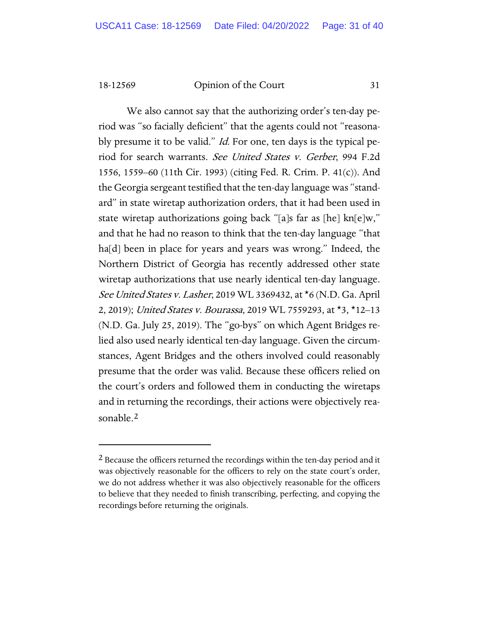We also cannot say that the authorizing order's ten-day period was "so facially deficient" that the agents could not "reasonably presume it to be valid." *Id.* For one, ten days is the typical period for search warrants. See United States v. Gerber, 994 F.2d 1556, 1559–60 (11th Cir. 1993) (citing Fed. R. Crim. P. 41(c)). And the Georgia sergeant testified that the ten-day language was "standard" in state wiretap authorization orders, that it had been used in state wiretap authorizations going back "[a]s far as [he] kn[e]w," and that he had no reason to think that the ten-day language "that ha<sup>[d]</sup> been in place for years and years was wrong." Indeed, the Northern District of Georgia has recently addressed other state wiretap authorizations that use nearly identical ten-day language. See United States v. Lasher, 2019 WL 3369432, at \*6 (N.D. Ga. April 2, 2019); United States v. Bourassa, 2019 WL 7559293, at \*3, \*12-13 (N.D. Ga. July 25, 2019). The "go-bys" on which Agent Bridges relied also used nearly identical ten-day language. Given the circumstances, Agent Bridges and the others involved could reasonably presume that the order was valid. Because these officers relied on the court's orders and followed them in conducting the wiretaps and in returning the recordings, their actions were objectively reasonable.[2](#page-30-0)

<span id="page-30-0"></span><sup>&</sup>lt;sup>2</sup> Because the officers returned the recordings within the ten-day period and it was objectively reasonable for the officers to rely on the state court's order, we do not address whether it was also objectively reasonable for the officers to believe that they needed to finish transcribing, perfecting, and copying the recordings before returning the originals.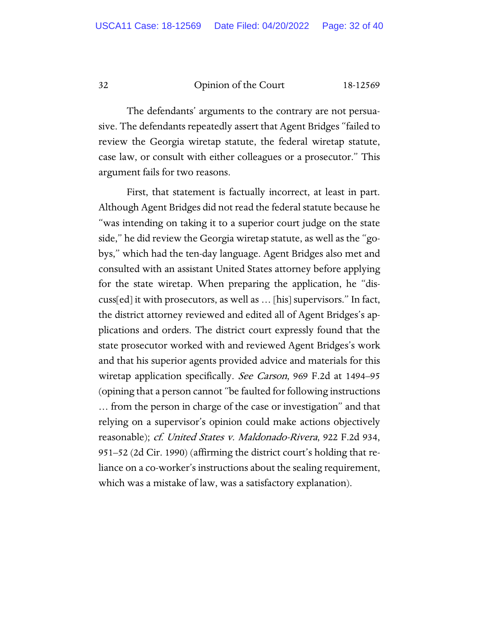The defendants' arguments to the contrary are not persuasive. The defendants repeatedly assert that Agent Bridges "failed to review the Georgia wiretap statute, the federal wiretap statute, case law, or consult with either colleagues or a prosecutor." This argument fails for two reasons.

First, that statement is factually incorrect, at least in part. Although Agent Bridges did not read the federal statute because he "was intending on taking it to a superior court judge on the state side," he did review the Georgia wiretap statute, as well as the "gobys," which had the ten-day language. Agent Bridges also met and consulted with an assistant United States attorney before applying for the state wiretap. When preparing the application, he "discuss[ed] it with prosecutors, as well as … [his] supervisors." In fact, the district attorney reviewed and edited all of Agent Bridges's applications and orders. The district court expressly found that the state prosecutor worked with and reviewed Agent Bridges's work and that his superior agents provided advice and materials for this wiretap application specifically. See Carson, 969 F.2d at 1494–95 (opining that a person cannot "be faulted for following instructions … from the person in charge of the case or investigation" and that relying on a supervisor's opinion could make actions objectively reasonable); cf. United States v. Maldonado-Rivera, 922 F.2d 934, 951–52 (2d Cir. 1990) (affirming the district court's holding that reliance on a co-worker's instructions about the sealing requirement, which was a mistake of law, was a satisfactory explanation).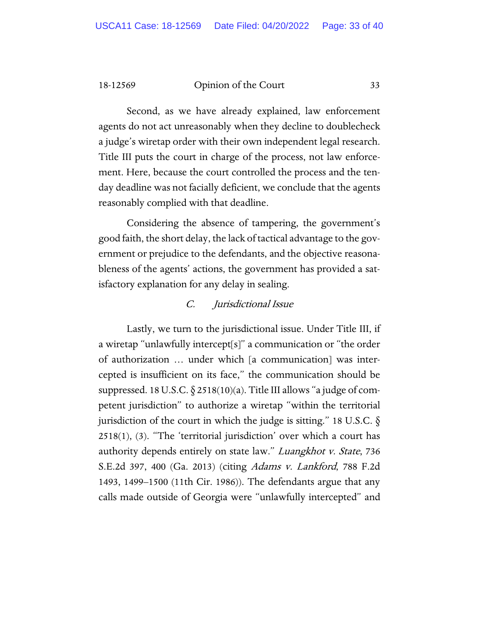Second, as we have already explained, law enforcement agents do not act unreasonably when they decline to doublecheck a judge's wiretap order with their own independent legal research. Title III puts the court in charge of the process, not law enforcement. Here, because the court controlled the process and the tenday deadline was not facially deficient, we conclude that the agents reasonably complied with that deadline.

Considering the absence of tampering, the government's good faith, the short delay, the lack of tactical advantage to the government or prejudice to the defendants, and the objective reasonableness of the agents' actions, the government has provided a satisfactory explanation for any delay in sealing.

# C. Jurisdictional Issue

Lastly, we turn to the jurisdictional issue. Under Title III, if a wiretap "unlawfully intercept[s]" a communication or "the order of authorization … under which [a communication] was intercepted is insufficient on its face," the communication should be suppressed. 18 U.S.C.  $\S 2518(10)(a)$ . Title III allows "a judge of competent jurisdiction" to authorize a wiretap "within the territorial jurisdiction of the court in which the judge is sitting." 18 U.S.C.  $\S$ 2518(1), (3). "The 'territorial jurisdiction' over which a court has authority depends entirely on state law." Luangkhot v. State, 736 S.E.2d 397, 400 (Ga. 2013) (citing *Adams v. Lankford*, 788 F.2d 1493, 1499–1500 (11th Cir. 1986)). The defendants argue that any calls made outside of Georgia were "unlawfully intercepted" and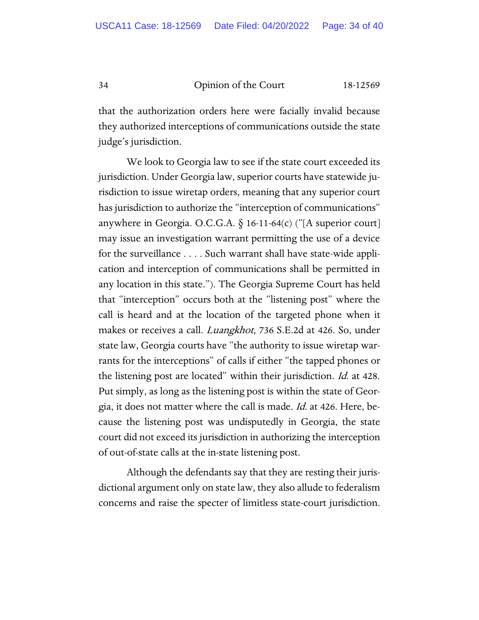that the authorization orders here were facially invalid because they authorized interceptions of communications outside the state judge's jurisdiction.

We look to Georgia law to see if the state court exceeded its jurisdiction. Under Georgia law, superior courts have statewide jurisdiction to issue wiretap orders, meaning that any superior court has jurisdiction to authorize the "interception of communications" anywhere in Georgia. O.C.G.A.  $\S$  16-11-64(c) ("[A superior court] may issue an investigation warrant permitting the use of a device for the surveillance . . . . Such warrant shall have state-wide application and interception of communications shall be permitted in any location in this state."). The Georgia Supreme Court has held that "interception" occurs both at the "listening post" where the call is heard and at the location of the targeted phone when it makes or receives a call. *Luangkhot*, 736 S.E.2d at 426. So, under state law, Georgia courts have "the authority to issue wiretap warrants for the interceptions" of calls if either "the tapped phones or the listening post are located" within their jurisdiction. *Id.* at 428. Put simply, as long as the listening post is within the state of Georgia, it does not matter where the call is made. Id. at 426. Here, because the listening post was undisputedly in Georgia, the state court did not exceed its jurisdiction in authorizing the interception of out-of-state calls at the in-state listening post.

Although the defendants say that they are resting their jurisdictional argument only on state law, they also allude to federalism concerns and raise the specter of limitless state-court jurisdiction.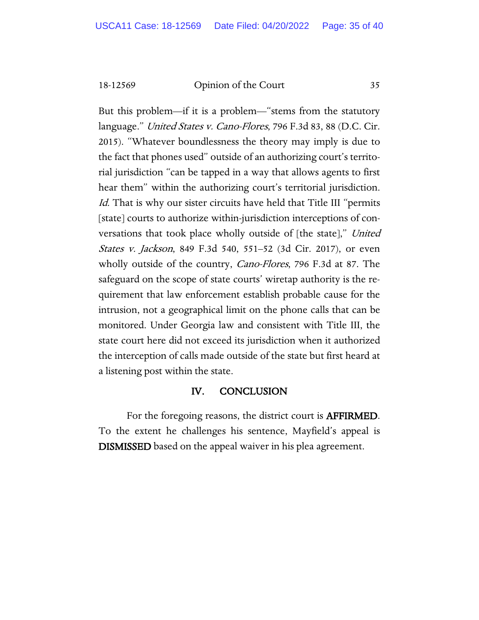But this problem—if it is a problem—"stems from the statutory language." United States v. Cano-Flores, 796 F.3d 83, 88 (D.C. Cir. 2015). "Whatever boundlessness the theory may imply is due to the fact that phones used" outside of an authorizing court's territorial jurisdiction "can be tapped in a way that allows agents to first hear them" within the authorizing court's territorial jurisdiction. Id. That is why our sister circuits have held that Title III "permits" [state] courts to authorize within-jurisdiction interceptions of conversations that took place wholly outside of [the state]," United States v. Jackson, 849 F.3d 540, 551–52 (3d Cir. 2017), or even wholly outside of the country, *Cano-Flores*, 796 F.3d at 87. The safeguard on the scope of state courts' wiretap authority is the requirement that law enforcement establish probable cause for the intrusion, not a geographical limit on the phone calls that can be monitored. Under Georgia law and consistent with Title III, the state court here did not exceed its jurisdiction when it authorized the interception of calls made outside of the state but first heard at a listening post within the state.

# IV. CONCLUSION

For the foregoing reasons, the district court is AFFIRMED. To the extent he challenges his sentence, Mayfield's appeal is DISMISSED based on the appeal waiver in his plea agreement.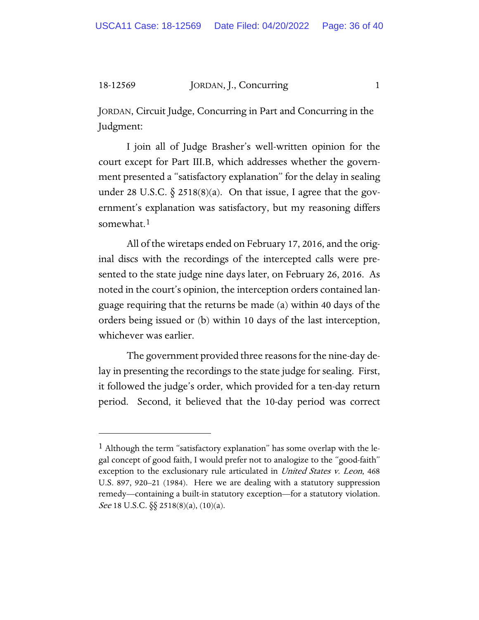# 18-12569 JORDAN, J., Concurring 1

JORDAN, Circuit Judge, Concurring in Part and Concurring in the Judgment:

I join all of Judge Brasher's well-written opinion for the court except for Part III.B, which addresses whether the government presented a "satisfactory explanation" for the delay in sealing under 28 U.S.C.  $\S$  2518(8)(a). On that issue, I agree that the government's explanation was satisfactory, but my reasoning differs somewhat.<sup>[1](#page-35-0)</sup>

All of the wiretaps ended on February 17, 2016, and the original discs with the recordings of the intercepted calls were presented to the state judge nine days later, on February 26, 2016. As noted in the court's opinion, the interception orders contained language requiring that the returns be made (a) within 40 days of the orders being issued or (b) within 10 days of the last interception, whichever was earlier.

The government provided three reasons for the nine-day delay in presenting the recordings to the state judge for sealing. First, it followed the judge's order, which provided for a ten-day return period. Second, it believed that the 10-day period was correct

<span id="page-35-0"></span><sup>1</sup> Although the term "satisfactory explanation" has some overlap with the legal concept of good faith, I would prefer not to analogize to the "good-faith" exception to the exclusionary rule articulated in *United States v. Leon*, 468 U.S. 897, 920–21 (1984). Here we are dealing with a statutory suppression remedy—containing a built-in statutory exception—for a statutory violation. *See* 18 U.S.C.  $\S$  2518(8)(a), (10)(a).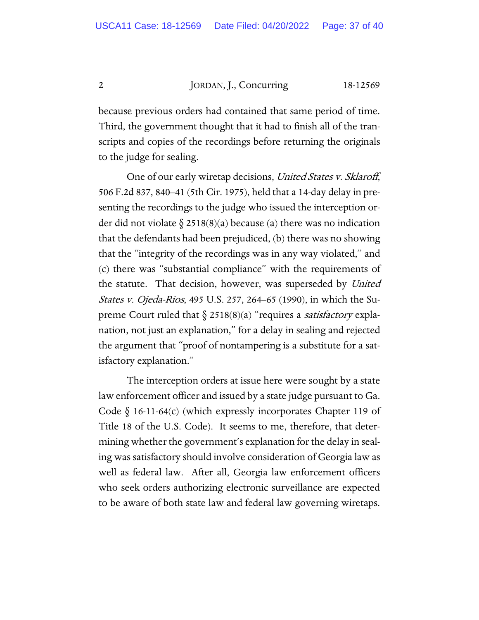2 JORDAN, J., Concurring 18-12569

because previous orders had contained that same period of time. Third, the government thought that it had to finish all of the transcripts and copies of the recordings before returning the originals to the judge for sealing.

One of our early wiretap decisions, United States v. Sklaroff, 506 F.2d 837, 840–41 (5th Cir. 1975), held that a 14-day delay in presenting the recordings to the judge who issued the interception order did not violate  $\S 2518(8)(a)$  because (a) there was no indication that the defendants had been prejudiced, (b) there was no showing that the "integrity of the recordings was in any way violated," and (c) there was "substantial compliance" with the requirements of the statute. That decision, however, was superseded by United States v. Ojeda-Rios, 495 U.S. 257, 264–65 (1990), in which the Supreme Court ruled that  $\S$  2518(8)(a) "requires a *satisfactory* explanation, not just an explanation," for a delay in sealing and rejected the argument that "proof of nontampering is a substitute for a satisfactory explanation."

The interception orders at issue here were sought by a state law enforcement officer and issued by a state judge pursuant to Ga. Code  $\S$  16-11-64(c) (which expressly incorporates Chapter 119 of Title 18 of the U.S. Code). It seems to me, therefore, that determining whether the government's explanation for the delay in sealing was satisfactory should involve consideration of Georgia law as well as federal law. After all, Georgia law enforcement officers who seek orders authorizing electronic surveillance are expected to be aware of both state law and federal law governing wiretaps.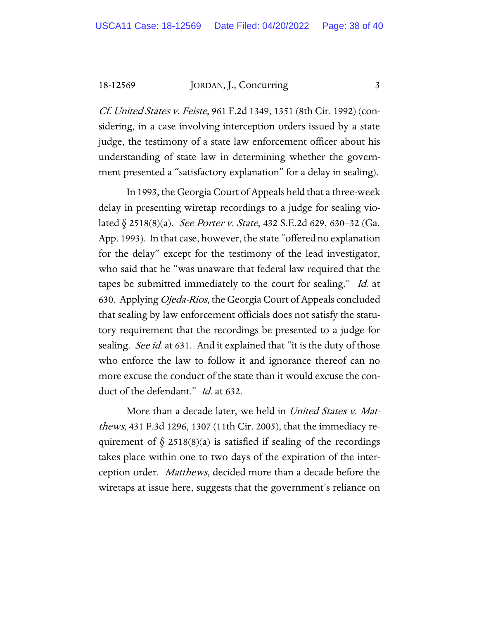18-12569 JORDAN, J., Concurring 3

Cf. United States v. Feiste, 961 F.2d 1349, 1351 (8th Cir. 1992) (considering, in a case involving interception orders issued by a state judge, the testimony of a state law enforcement officer about his understanding of state law in determining whether the government presented a "satisfactory explanation" for a delay in sealing).

In 1993, the Georgia Court of Appeals held that a three-week delay in presenting wiretap recordings to a judge for sealing violated  $\S$  2518(8)(a). *See Porter v. State*, 432 S.E.2d 629, 630–32 (Ga. App. 1993). In that case, however, the state "offered no explanation for the delay" except for the testimony of the lead investigator, who said that he "was unaware that federal law required that the tapes be submitted immediately to the court for sealing." Id. at 630. Applying Ojeda-Rios, the Georgia Court of Appeals concluded that sealing by law enforcement officials does not satisfy the statutory requirement that the recordings be presented to a judge for sealing. See id. at 631. And it explained that "it is the duty of those who enforce the law to follow it and ignorance thereof can no more excuse the conduct of the state than it would excuse the conduct of the defendant." Id. at 632.

More than a decade later, we held in United States v. Matthews, 431 F.3d 1296, 1307 (11th Cir. 2005), that the immediacy requirement of  $\S$  2518(8)(a) is satisfied if sealing of the recordings takes place within one to two days of the expiration of the interception order. Matthews, decided more than a decade before the wiretaps at issue here, suggests that the government's reliance on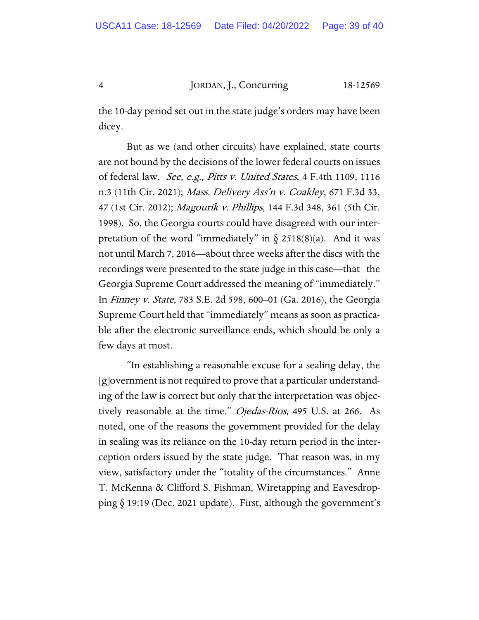4 JORDAN, J., Concurring 18-12569

the 10-day period set out in the state judge's orders may have been dicey.

But as we (and other circuits) have explained, state courts are not bound by the decisions of the lower federal courts on issues of federal law. See, e.g., Pitts v. United States, 4 F.4th 1109, 1116 n.3 (11th Cir. 2021); Mass. Delivery Ass'n v. Coakley, 671 F.3d 33, 47 (1st Cir. 2012); Magourik v. Phillips, 144 F.3d 348, 361 (5th Cir. 1998). So, the Georgia courts could have disagreed with our interpretation of the word "immediately" in  $\S$  2518(8)(a). And it was not until March 7, 2016—about three weeks after the discs with the recordings were presented to the state judge in this case—that the Georgia Supreme Court addressed the meaning of "immediately." In Finney v. State, 783 S.E. 2d 598, 600–01 (Ga. 2016), the Georgia Supreme Court held that "immediately" means as soon as practicable after the electronic surveillance ends, which should be only a few days at most.

"In establishing a reasonable excuse for a sealing delay, the [g]overnment is not required to prove that a particular understanding of the law is correct but only that the interpretation was objectively reasonable at the time." Ojedas-Rios, 495 U.S. at 266. As noted, one of the reasons the government provided for the delay in sealing was its reliance on the 10-day return period in the interception orders issued by the state judge. That reason was, in my view, satisfactory under the "totality of the circumstances." Anne T. McKenna & Clifford S. Fishman, Wiretapping and Eavesdropping § 19:19 (Dec. 2021 update). First, although the government's